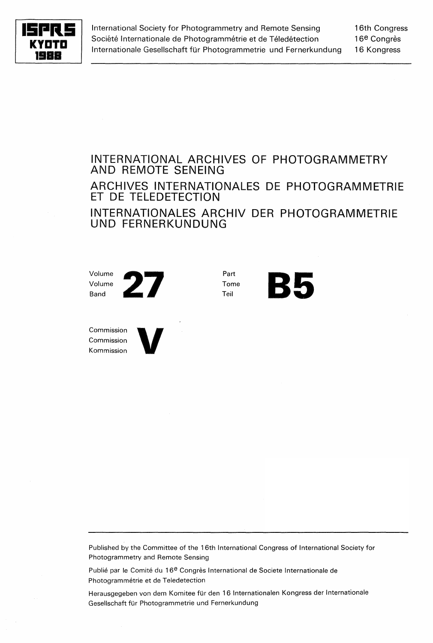

International Society for Photogrammetry and Remote Sensing Société Internationale de Photogrammétrie et de Téledétection Internationale Gesellschaft für Photogrammetrie und Fernerkundung

16th Congress 16<sup>e</sup> Congrès 16 Kongress

## INTERNATIONAL ARCHIVES OF PHOTOGRAMMETRY AND REMOTE SENEING ARCHIVES INTERNATIONALES DE PHOTOGRAMMETRIE ET DE TELEDETECTION INTERNATIONALES ARCHIV DER PHOTOGRAMMETRIE UND FERNERKUNDUNG

Tome **B5** 

Part Tome



Commission Commission Commission<br>Commission<br>Kommission



Published by the Committee of the 16th International Congress of International Society for Photogrammetry and Remote Sensing

Publié par le Comité du 16<sup>e</sup> Congrès International de Societe Internationale de Photogrammétrie et de Teledetection

Herausgegeben von dem Komitee für den 16 Internationalen Kongress der Internationale Gesellschaft für Photogrammetrie und Fernerkundung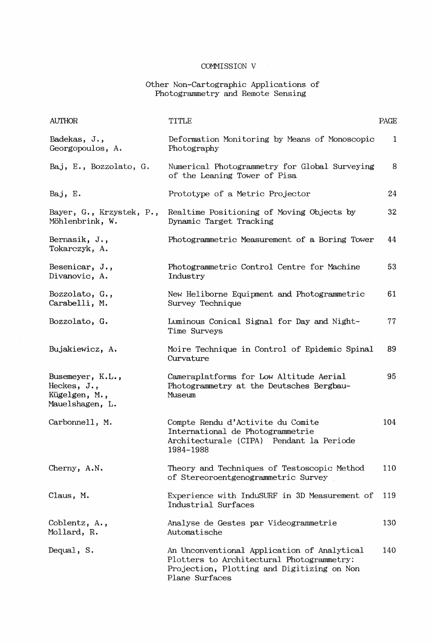### Other Non-Cartographic Applications of Photogrammetry and Remote Sensing

| <b>AUTHOR</b>                                                          | <b>TITLE</b>                                                                                                                                             | PAGE |
|------------------------------------------------------------------------|----------------------------------------------------------------------------------------------------------------------------------------------------------|------|
| Badekas, J.,<br>Georgopoulos, A.                                       | Deformation Monitoring by Means of Monoscopic<br>Photography                                                                                             | 1    |
| Baj, E., Bozzolato, G.                                                 | Numerical Photogrammetry for Global Surveying<br>of the Leaning Tower of Pisa                                                                            | 8    |
| Baj, E.                                                                | Prototype of a Metric Projector                                                                                                                          | 24   |
| Bayer, G., Krzystek, P.,<br>Möhlenbrink, W.                            | Realtime Positioning of Moving Objects by<br>Dynamic Target Tracking                                                                                     | 32   |
| Bernasik, J.,<br>Tokarczyk, A.                                         | Photogrammetric Measurement of a Boring Tower                                                                                                            | 44   |
| Besenicar, $J.$ ,<br>Divanovic, A.                                     | Photogrammetric Control Centre for Machine<br>Industry                                                                                                   | 53   |
| Bozzolato, G.,<br>Carabelli, M.                                        | New Heliborne Equipment and Photogrammetric<br>Survey Technique                                                                                          | 61   |
| Bozzolato, G.                                                          | Luminous Conical Signal for Day and Night-<br>Time Surveys                                                                                               | 77   |
| Bujakiewicz, A.                                                        | Moire Technique in Control of Epidemic Spinal<br>Curvature                                                                                               | 89   |
| Busemeyer, K.L.,<br>Heckes, $J.$ ,<br>Kügelgen, M.,<br>Mauelshagen, L. | Cameraplatforms for Low Altitude Aerial<br>Photogrammetry at the Deutsches Bergbau-<br>Museum                                                            | 95   |
| Carbonnell, M.                                                         | Compte Rendu d'Activite du Comite<br>International de Photogrammetrie<br>Architecturale (CIPA) Pendant la Periode<br>1984-1988                           | 104  |
| Cherny, A.N.                                                           | Theory and Techniques of Testoscopic Method<br>of Stereoroentgenogrammetric Survey                                                                       | 110  |
| Claus, M.                                                              | Experience with InduSURF in 3D Measurement of<br>Industrial Surfaces                                                                                     | 119  |
| Coblentz, A.,<br>Mollard, R.                                           | Analyse de Gestes par Videogrammetrie<br>Automatische                                                                                                    | 130  |
| Dequal, S.                                                             | An Unconventional Application of Analytical<br>Plotters to Architectural Photogrammetry:<br>Projection, Plotting and Digitizing on Non<br>Plane Surfaces | 140  |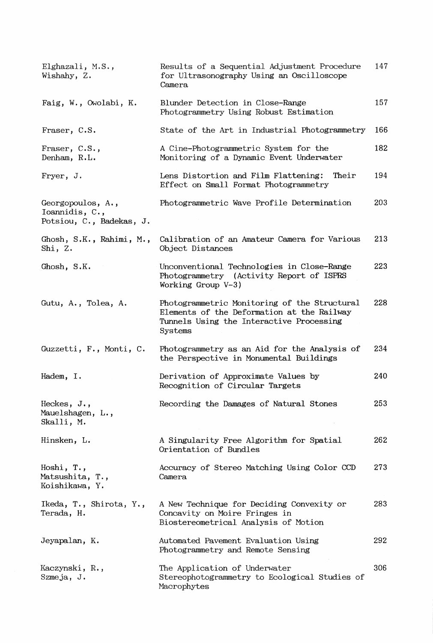| Elghazali, M.S.,<br>Wishahy, Z.                                 | Results of a Sequential Adjustment Procedure<br>for Ultrasonography Using an Oscilloscope<br>Camera                                               | 147 |
|-----------------------------------------------------------------|---------------------------------------------------------------------------------------------------------------------------------------------------|-----|
| Faig, W., Owolabi, K.                                           | Blunder Detection in Close-Range<br>Photogrammetry Using Robust Estimation                                                                        | 157 |
| Fraser, C.S.                                                    | State of the Art in Industrial Photogrammetry                                                                                                     | 166 |
| Fraser, C.S.,<br>Denham, R.L.                                   | A Cine-Photogrammetric System for the<br>Monitoring of a Dynamic Event Underwater                                                                 | 182 |
| Fryer, J.                                                       | Lens Distortion and Film Flattening:<br>Their<br>Effect on Small Format Photogrammetry                                                            | 194 |
| Georgopoulos, A.,<br>Ioannidis, C.,<br>Potsiou, C., Badekas, J. | Photogrammetric Wave Profile Determination                                                                                                        | 203 |
| Ghosh, S.K., Rahimi, M.,<br>Shi, Z.                             | Calibration of an Amateur Camera for Various<br>Object Distances                                                                                  | 213 |
| Ghosh, S.K.                                                     | Unconventional Technologies in Close-Range<br>Photogrammetry (Activity Report of ISPRS<br>Working Group $V-3$ )                                   | 223 |
| Gutu, A., Tolea, A.                                             | Photogrammetric Monitoring of the Structural<br>Elements of the Deformation at the Railway<br>Tunnels Using the Interactive Processing<br>Systems | 228 |
| Guzzetti, F., Monti, C.                                         | Photogrammetry as an Aid for the Analysis of<br>the Perspective in Monumental Buildings                                                           | 234 |
| Hadem, I.                                                       | Derivation of Approximate Values by<br>Recognition of Circular Targets                                                                            | 240 |
| Heckes, J.,<br>Mauelshagen, L.,<br>Skalli, M.                   | Recording the Damages of Natural Stones                                                                                                           | 253 |
| Hinsken, L.                                                     | A Singularity Free Algorithm for Spatial<br>Orientation of Bundles                                                                                | 262 |
| Hoshi, T.,<br>Matsushita, T.,<br>Koishikawa, Y.                 | Accuracy of Stereo Matching Using Color CCD<br>Camera                                                                                             | 273 |
| Ikeda, T., Shirota, Y.,<br>Terada, H.                           | A New Technique for Deciding Convexity or<br>Concavity on Moire Fringes in<br>Biostereometrical Analysis of Motion                                | 283 |
| Jeyapalan, K.                                                   | Automated Pavement Evaluation Using<br>Photogrammetry and Remote Sensing                                                                          | 292 |
| Kaczynski, R.,<br>Szmeja, J.                                    | The Application of Underwater<br>Stereophotogrammetry to Ecological Studies of<br>Macrophytes                                                     | 306 |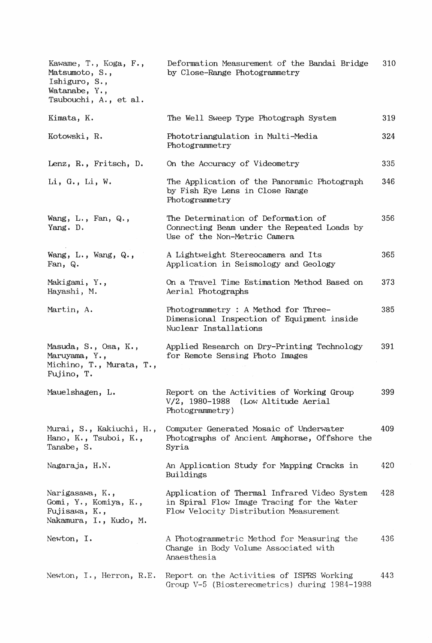| Kawame, T., Koga, F.,<br>Matsumoto, S.,<br>Ishiguro, S.,<br>Watanabe, $Y_{\cdot}$ ,<br>Tsubouchi, A., et al. | Deformation Measurement of the Bandai Bridge<br>by Close-Range Photogrammetry                                                        | 310 |
|--------------------------------------------------------------------------------------------------------------|--------------------------------------------------------------------------------------------------------------------------------------|-----|
| Kimata, K.                                                                                                   | The Well Sweep Type Photograph System                                                                                                | 319 |
| Kotowski, R.                                                                                                 | Phototriangulation in Multi-Media<br>Photogrammetry                                                                                  | 324 |
| Lenz, R., Fritsch, D.                                                                                        | On the Accuracy of Videometry                                                                                                        | 335 |
| Li, G., Li, W.                                                                                               | The Application of the Panoramic Photograph<br>by Fish Eye Lens in Close Range<br>Photogrammetry                                     | 346 |
| Wang, $L_{\cdot}$ , $Fan, Q_{\cdot}$ ,<br>Yang. D.                                                           | The Determination of Deformation of<br>Connecting Beam under the Repeated Loads by<br>Use of the Non-Metric Camera                   | 356 |
| Wang, $L_{\cdot}$ , Wang, $Q_{\cdot}$ ,<br>Fan, $Q$ .                                                        | A Lightweight Stereocamera and Its<br>Application in Seismology and Geology                                                          | 365 |
| Makigami, Y.,<br>Hayashi, M.                                                                                 | On a Travel Time Estimation Method Based on<br>Aerial Photographs                                                                    | 373 |
| Martin, A.                                                                                                   | Photogrammetry : A Method for Three-<br>Dimensional Inspection of Equipment inside<br>Nuclear Installations                          | 385 |
| Masuda, S., Osa, K.,<br>Maruyama, Y.,<br>Michino, T., Murata, T.,<br>Fujino, T.                              | Applied Research on Dry-Printing Technology<br>for Remote Sensing Photo Images                                                       | 391 |
| Mauelshagen, L.                                                                                              | Report on the Activities of Working Group<br>V/2, 1980-1988 (Low Altitude Aerial<br>Photogrammetry)                                  | 399 |
| Murai, S., Kakiuchi, H.,<br>Hano, K., Tsuboi, K.,<br>Tanabe, S.                                              | Computer Generated Mosaic of Underwater<br>Photographs of Ancient Amphorae, Offshore the<br>Syria                                    | 409 |
| Nagaraja, H.N.                                                                                               | An Application Study for Mapping Cracks in<br>Buildings                                                                              | 420 |
| Narigasawa, K.,<br>Gomi, Y., Komiya, K.,<br>Fujisawa, K.,<br>Nakamura, I., Kudo, M.                          | Application of Thermal Infrared Video System<br>in Spiral Flow Image Tracing for the Water<br>Flow Velocity Distribution Measurement | 428 |
| Newton, I.                                                                                                   | A Photogrammetric Method for Measuring the<br>Change in Body Volume Associated with<br>Anaesthesia                                   | 436 |
| Newton, I., Herron, R.E.                                                                                     | Report on the Activities of ISPRS Working<br>Group V-5 (Biostereometrics) during 1984-1988                                           | 443 |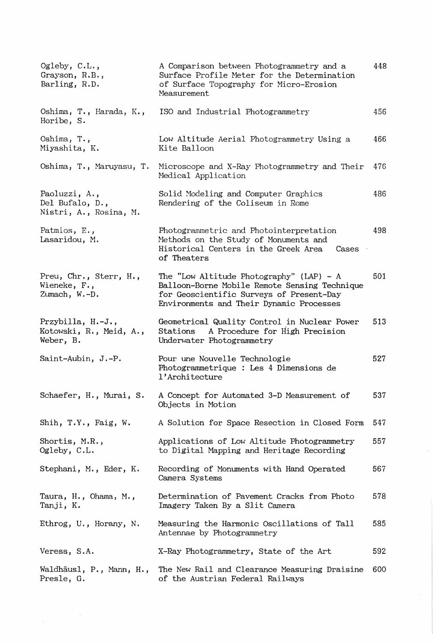| Ogleby, $C.L.,$<br>Grayson, R.B.,<br>Barling, R.D.         | A Comparison between Photogrammetry and a<br>Surface Profile Meter for the Determination<br>of Surface Topography for Micro-Erosion<br>Measurement                                  | 448 |
|------------------------------------------------------------|-------------------------------------------------------------------------------------------------------------------------------------------------------------------------------------|-----|
| Oshima, T., Harada, K.,<br>Horibe, S.                      | ISO and Industrial Photogrammetry                                                                                                                                                   | 456 |
| Oshima, T.,<br>Miyashita, K.                               | Low Altitude Aerial Photogrammetry Using a<br>Kite Balloon                                                                                                                          | 466 |
| Oshima, T., Maruyasu, T.                                   | Microscope and X-Ray Photogrammetry and Their<br>Medical Application                                                                                                                | 476 |
| Paoluzzi, A.,<br>Del Bufalo, D.,<br>Nistri, A., Rosina, M. | Solid Modeling and Computer Graphics<br>Rendering of the Coliseum in Rome                                                                                                           | 486 |
| Patmios, E.,<br>Lasaridou, M.                              | Photogrammetric and Photointerpretation<br>Methods on the Study of Monuments and<br>Historical Centers in the Greek Area<br>Cases<br>of Theaters                                    | 498 |
| Preu, Chr., Sterr, H.,<br>Wieneke, F.,<br>Zumach, W.-D.    | The "Low Altitude Photography" (LAP) - $A$<br>Balloon-Borne Mobile Remote Sensing Technique<br>for Geoscientific Surveys of Present-Day<br>Environments and Their Dynamic Processes | 501 |
| Przybilla, H.-J.,<br>Kotowski, R., Meid, A.,<br>Weber, B.  | Geometrical Quality Control in Nuclear Power<br>A Procedure for High Precision<br>Stations<br>Underwater Photogrammetry                                                             | 513 |
| Saint-Aubin, J.-P.                                         | Pour une Nouvelle Technologie<br>Photogrammetrique : Les 4 Dimensions de<br>l'Architecture                                                                                          | 527 |
| Schaefer, H., Murai, S.                                    | A Concept for Automated 3-D Measurement of<br>Objects in Motion                                                                                                                     | 537 |
| Shih, T.Y., Faig, W.                                       | A Solution for Space Resection in Closed Form                                                                                                                                       | 547 |
| Shortis, M.R.,<br>Ogleby, C.L.                             | Applications of Low Altitude Photogrammetry<br>to Digital Mapping and Heritage Recording                                                                                            | 557 |
| Stephani, M., Eder, K.                                     | Recording of Monuments with Hand Operated<br>Camera Systems                                                                                                                         | 567 |
| Taura, H., Ohama, M.,<br>Tanji, K.                         | Determination of Pavement Cracks from Photo<br>Imagery Taken By a Slit Camera                                                                                                       | 578 |
| Ethrog, U., Horany, N.                                     | Measuring the Harmonic Oscillations of Tall<br>Antennae by Photogrammetry                                                                                                           | 585 |
| Veress, S.A.                                               | X-Ray Photogrammetry, State of the Art                                                                                                                                              | 592 |
| Waldhäusl, P., Mann, H.,<br>Presle, G.                     | The New Rail and Clearance Measuring Draisine<br>of the Austrian Federal Railways                                                                                                   | 600 |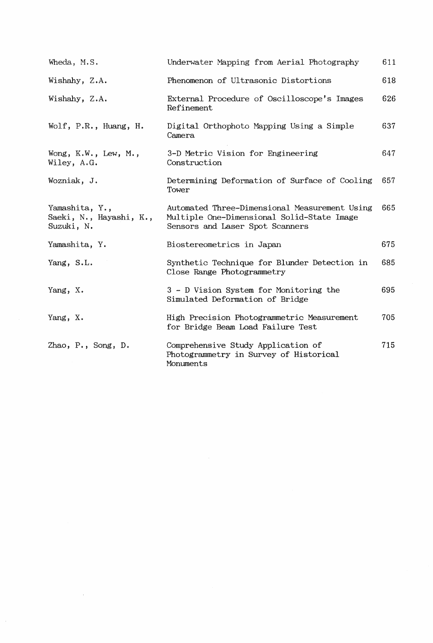| Wheda, M.S.                                             | Underwater Mapping from Aerial Photography                                                                                     | 611 |
|---------------------------------------------------------|--------------------------------------------------------------------------------------------------------------------------------|-----|
| Wishahy, Z.A.                                           | Phenomenon of Ultrasonic Distortions                                                                                           | 618 |
| Wishahy, Z.A.                                           | External Procedure of Oscilloscope's Images<br>Refinement                                                                      | 626 |
| Wolf, P.R., Huang, H.                                   | Digital Orthophoto Mapping Using a Simple<br>Camera                                                                            | 637 |
| Wong, $K.W.$ , Lew, $M.$ ,<br>Wiley, A.G.               | 3-D Metric Vision for Engineering<br>Construction                                                                              | 647 |
| Wozniak, J.                                             | Determining Deformation of Surface of Cooling<br>Tower                                                                         | 657 |
| Yamashita, Y.,<br>Saeki, N., Hayashi, K.,<br>Suzuki, N. | Automated Three-Dimensional Measurement Using<br>Multiple One-Dimensional Solid-State Image<br>Sensors and Laser Spot Scanners | 665 |
| Yamashita, Y.                                           | Biostereometrics in Japan                                                                                                      | 675 |
| Yang, S.L.                                              | Synthetic Technique for Blunder Detection in<br>Close Range Photogrammetry                                                     | 685 |
| Yang, X.                                                | 3 - D Vision System for Monitoring the<br>Simulated Deformation of Bridge                                                      | 695 |
| Yang, X.                                                | High Precision Photogrammetric Measurement<br>for Bridge Beam Load Failure Test                                                | 705 |
| Zhao, P., Song, D.                                      | Comprehensive Study Application of<br>Photogrammetry in Survey of Historical<br>Monuments                                      | 715 |

 $\mathcal{L}^{\text{max}}_{\text{max}}$  . The  $\mathcal{L}^{\text{max}}_{\text{max}}$ 

 $\hat{\vec{r}}$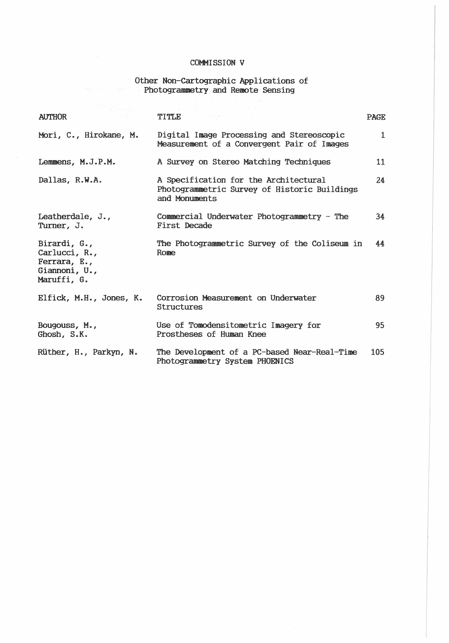# Other Non-Cartographic Applications of<br>Photogrammetry and Remote Sensing

| <b>AUTHOR</b>                                                                 | TITLE <b>TE</b>                                                                                        | <b>PAGE</b>  |
|-------------------------------------------------------------------------------|--------------------------------------------------------------------------------------------------------|--------------|
| Mori, C., Hirokane, M.                                                        | Digital Image Processing and Stereoscopic<br>Measurement of a Convergent Pair of Images                | $\mathbf{1}$ |
| Lemmens, M.J.P.M.                                                             | A Survey on Stereo Matching Techniques                                                                 | 11           |
| Dallas, R.W.A.                                                                | A Specification for the Architectural<br>Photogrammetric Survey of Historic Buildings<br>and Monuments | 24           |
| Leatherdale, J.,<br>Turner, J.                                                | Commercial Underwater Photogrammetry - The<br>First Decade                                             | 34           |
| Birardi, G.,<br>Carlucci, R.,<br>Ferrara, E.,<br>Giannoni, U.,<br>Maruffi, G. | The Photogrammetric Survey of the Coliseum in<br>Rome                                                  | 44           |
| Elfick, M.H., Jones, K.                                                       | Corrosion Measurement on Underwater<br><b>Structures</b>                                               | 89           |
| Bougouss, $M_{\star}$ ,<br>Ghosh, S.K.                                        | Use of Tomodensitometric Imagery for<br>Prostheses of Human Knee                                       | 95           |
| Rüther, H., Parkyn, N.                                                        | The Development of a PC-based Near-Real-Time<br>Photogrammetry System PHOENICS                         | 105          |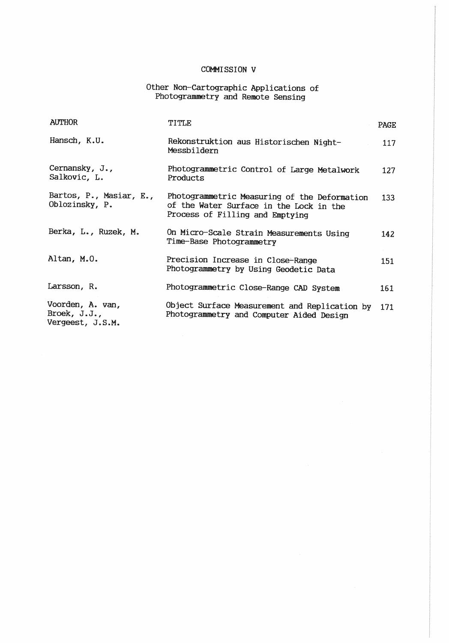# Other Non-Cartographic Applications of<br>Photogrammetry and Remote Sensing

| <b>AUTHOR</b>                                           | TITLE                                                                                                                      | <b>PAGE</b> |
|---------------------------------------------------------|----------------------------------------------------------------------------------------------------------------------------|-------------|
| Hansch, K.U.                                            | Rekonstruktion aus Historischen Night-<br>Messbildern                                                                      | 117         |
| Cernansky, J.,<br>Salkovic, L.                          | Photogrammetric Control of Large Metalwork<br>Products                                                                     | 127         |
| Bartos, P., Masiar, E.,<br>Oblozinsky, P.               | Photogrammetric Measuring of the Deformation<br>of the Water Surface in the Lock in the<br>Process of Filling and Emptying | 133         |
| Berka, L., Ruzek, M.                                    | On Micro-Scale Strain Measurements Using<br>Time-Base Photogrammetry                                                       | 142         |
| Altan, M.O.                                             | Precision Increase in Close-Range<br>Photogrammetry by Using Geodetic Data                                                 | 151         |
| Larsson, R.                                             | Photogrammetric Close-Range CAD System                                                                                     | 161         |
| Voorden, A. van,<br>Broek, $J.J.$ ,<br>Vergeest, J.S.M. | Object Surface Measurement and Replication by<br>Photogrammetry and Computer Aided Design                                  | 171         |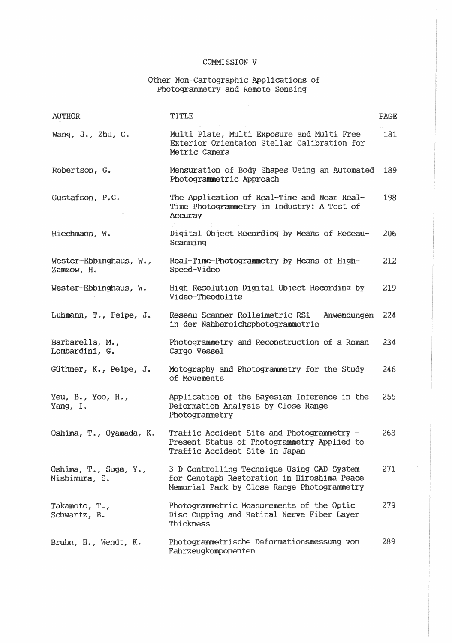## Other Non-Cartographic Applications of<br>Photogrammetry and Remote Sensing

| <b>AUTHOR</b>                                         | TITLE                                                                                                                                    | PAGE |
|-------------------------------------------------------|------------------------------------------------------------------------------------------------------------------------------------------|------|
| Wang, $J_{\bullet}$ , $Zhu$ , $C_{\bullet}$           | Multi Plate, Multi Exposure and Multi Free<br>Exterior Orientaion Stellar Calibration for<br>Metric Camera                               | 181  |
| Robertson, G.                                         | Mensuration of Body Shapes Using an Automated<br>Photogrammetric Approach                                                                | 189  |
| Gustafson, P.C.                                       | The Application of Real-Time and Near Real-<br>Time Photogrammetry in Industry: A Test of<br>Accuray                                     | 198  |
| Riechmann, W.                                         | Digital Object Recording by Means of Reseau-<br>Scanning                                                                                 | 206  |
| Wester-Ebbinghaus, W.,<br>Zamzow, H.                  | Real-Time-Photogrammetry by Means of High-<br>Speed-Video                                                                                | 212  |
| Wester-Ebbinghaus, W.                                 | High Resolution Digital Object Recording by<br>Video-Theodolite                                                                          | 219  |
| Luhmann, T., Peipe, J.                                | Reseau-Scanner Rolleimetric RS1 - Anwendungen<br>in der Nahbereichsphotogrammetrie                                                       | 224  |
| Barbarella, M.,<br>Lombardini, G.                     | Photogrammetry and Reconstruction of a Roman<br>Cargo Vessel                                                                             | 234  |
| Güthner, K., Peipe, J.                                | Motography and Photogrammetry for the Study<br>of Movements                                                                              | 246  |
| Yeu, $B_{\bullet}$ , Yoo, $H_{\bullet}$ ,<br>Yang, I. | Application of the Bayesian Inference in the<br>Deformation Analysis by Close Range<br>Photogrammetry                                    | 255  |
| Oshima, T., Oyamada, K.                               | Traffic Accident Site and Photogrammetry -<br>Present Status of Photogrammetry Applied to<br>Traffic Accident Site in Japan -            | 263  |
| Oshima, T., Suga, Y.,<br>Nishimura, S.                | 3-D Controlling Technique Using CAD System<br>for Cenotaph Restoration in Hiroshima Peace<br>Memorial Park by Close-Range Photogrammetry | 271  |
| Takamoto, T.,<br>Schwartz, B.                         | Photogrammetric Measurements of the Optic<br>Disc Cupping and Retinal Nerve Fiber Layer<br>Thickness                                     | 279  |
| Bruhn, H., Wendt, K.                                  | Photogrammetrische Deformationsmessung von<br>Fahrzeugkomponenten                                                                        | 289  |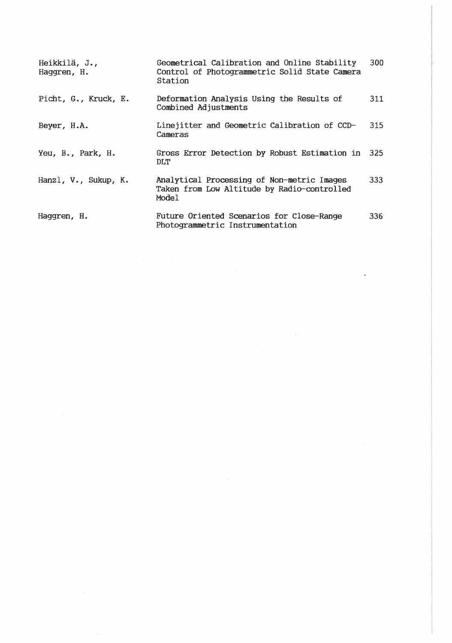| Heikkilä, J.,<br>Haggren, H. | Geometrical Calibration and Online Stability<br>Control of Photogrammetric Solid State Camera<br>Station | 300  |
|------------------------------|----------------------------------------------------------------------------------------------------------|------|
| Picht, G., Kruck, E.         | Deformation Analysis Using the Results of<br>Combined Adjustments                                        | 311  |
| Beyer, H.A.                  | Linejitter and Geometric Calibration of CCD-<br>Cameras                                                  | 315  |
| Yeu, B., Park, H.            | Gross Error Detection by Robust Estimation in<br>DLT                                                     | -325 |
| Hanzl, V., Sukup, K.         | Analytical Processing of Non-metric Images<br>Taken from Low Altitude by Radio-controlled<br>Model       | 333  |
| Haggren, H.                  | Future Oriented Scenarios for Close-Range<br>Photogrammetric Instrumentation                             | 336. |

 $\mathcal{L}^{\text{max}}_{\text{max}}$